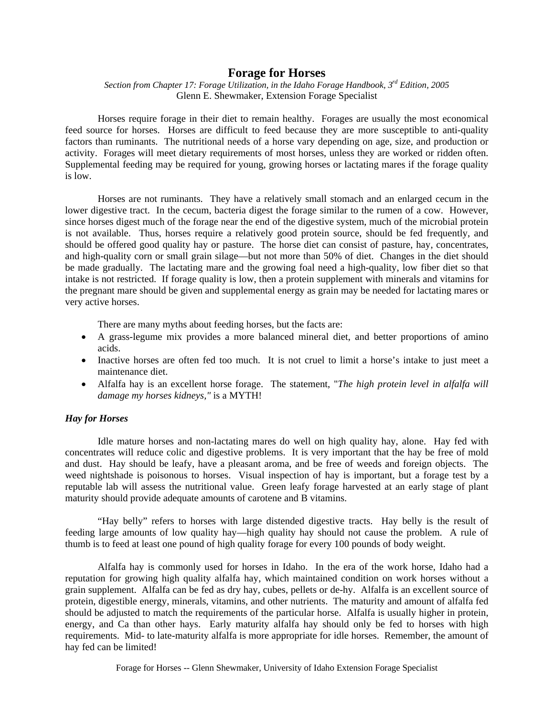# **Forage for Horses**

*Section from Chapter 17: Forage Utilization, in the Idaho Forage Handbook, 3rd Edition, 2005* Glenn E. Shewmaker, Extension Forage Specialist

Horses require forage in their diet to remain healthy. Forages are usually the most economical feed source for horses. Horses are difficult to feed because they are more susceptible to anti-quality factors than ruminants. The nutritional needs of a horse vary depending on age, size, and production or activity. Forages will meet dietary requirements of most horses, unless they are worked or ridden often. Supplemental feeding may be required for young, growing horses or lactating mares if the forage quality is low.

Horses are not ruminants. They have a relatively small stomach and an enlarged cecum in the lower digestive tract. In the cecum, bacteria digest the forage similar to the rumen of a cow. However, since horses digest much of the forage near the end of the digestive system, much of the microbial protein is not available. Thus, horses require a relatively good protein source, should be fed frequently, and should be offered good quality hay or pasture. The horse diet can consist of pasture, hay, concentrates, and high-quality corn or small grain silage—but not more than 50% of diet. Changes in the diet should be made gradually. The lactating mare and the growing foal need a high-quality, low fiber diet so that intake is not restricted. If forage quality is low, then a protein supplement with minerals and vitamins for the pregnant mare should be given and supplemental energy as grain may be needed for lactating mares or very active horses.

There are many myths about feeding horses, but the facts are:

- A grass-legume mix provides a more balanced mineral diet, and better proportions of amino acids.
- Inactive horses are often fed too much. It is not cruel to limit a horse's intake to just meet a maintenance diet.
- Alfalfa hay is an excellent horse forage. The statement, "*The high protein level in alfalfa will damage my horses kidneys,"* is a MYTH!

## *Hay for Horses*

Idle mature horses and non-lactating mares do well on high quality hay, alone. Hay fed with concentrates will reduce colic and digestive problems. It is very important that the hay be free of mold and dust. Hay should be leafy, have a pleasant aroma, and be free of weeds and foreign objects. The weed nightshade is poisonous to horses. Visual inspection of hay is important, but a forage test by a reputable lab will assess the nutritional value. Green leafy forage harvested at an early stage of plant maturity should provide adequate amounts of carotene and B vitamins.

"Hay belly" refers to horses with large distended digestive tracts. Hay belly is the result of feeding large amounts of low quality hay—high quality hay should not cause the problem. A rule of thumb is to feed at least one pound of high quality forage for every 100 pounds of body weight.

Alfalfa hay is commonly used for horses in Idaho. In the era of the work horse, Idaho had a reputation for growing high quality alfalfa hay, which maintained condition on work horses without a grain supplement. Alfalfa can be fed as dry hay, cubes, pellets or de-hy. Alfalfa is an excellent source of protein, digestible energy, minerals, vitamins, and other nutrients. The maturity and amount of alfalfa fed should be adjusted to match the requirements of the particular horse. Alfalfa is usually higher in protein, energy, and Ca than other hays. Early maturity alfalfa hay should only be fed to horses with high requirements. Mid- to late-maturity alfalfa is more appropriate for idle horses. Remember, the amount of hay fed can be limited!

Forage for Horses -- Glenn Shewmaker, University of Idaho Extension Forage Specialist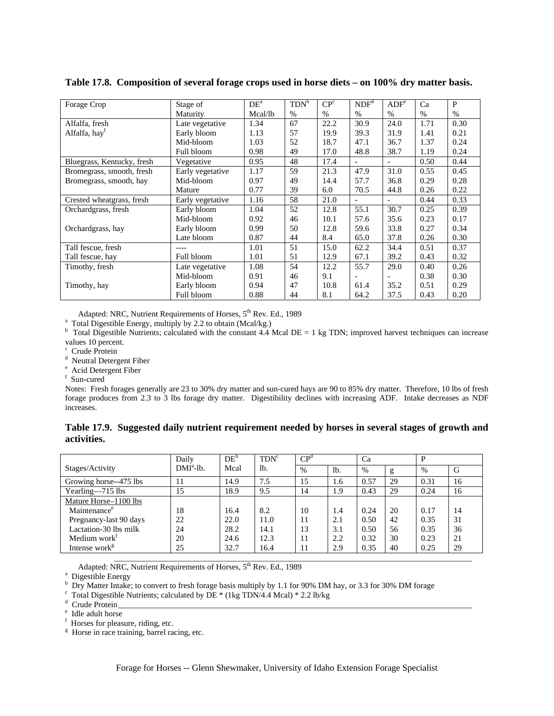| Forage Crop                | Stage of         | DE <sup>a</sup> | TDN <sup>b</sup> | CP <sup>c</sup> | NDF <sup>d</sup>         | ADF <sup>e</sup>         | Ca   | P    |
|----------------------------|------------------|-----------------|------------------|-----------------|--------------------------|--------------------------|------|------|
|                            | Maturity         | Mcal/lb         | $\%$             | $\%$            | $\%$                     | $\%$                     | $\%$ | $\%$ |
| Alfalfa, fresh             | Late vegetative  | 1.34            | 67               | 22.2            | 30.9                     | 24.0                     | 1.71 | 0.30 |
| Alfalfa, hay <sup>f</sup>  | Early bloom      | 1.13            | 57               | 19.9            | 39.3                     | 31.9                     | 1.41 | 0.21 |
|                            | Mid-bloom        | 1.03            | 52               | 18.7            | 47.1                     | 36.7                     | 1.37 | 0.24 |
|                            | Full bloom       | 0.98            | 49               | 17.0            | 48.8                     | 38.7                     | 1.19 | 0.24 |
| Bluegrass, Kentucky, fresh | Vegetative       | 0.95            | 48               | 17.4            | $\overline{\phantom{a}}$ | $\overline{\phantom{a}}$ | 0.50 | 0.44 |
| Bromegrass, smooth, fresh  | Early vegetative | 1.17            | 59               | 21.3            | 47.9                     | 31.0                     | 0.55 | 0.45 |
| Bromegrass, smooth, hay    | Mid-bloom        | 0.97            | 49               | 14.4            | 57.7                     | 36.8                     | 0.29 | 0.28 |
|                            | Mature           | 0.77            | 39               | 6.0             | 70.5                     | 44.8                     | 0.26 | 0.22 |
| Crested wheatgrass, fresh  | Early vegetative | 1.16            | 58               | 21.0            |                          | $\overline{\phantom{a}}$ | 0.44 | 0.33 |
| Orchardgrass, fresh        | Early bloom      | 1.04            | 52               | 12.8            | 55.1                     | 30.7                     | 0.25 | 0.39 |
|                            | Mid-bloom        | 0.92            | 46               | 10.1            | 57.6                     | 35.6                     | 0.23 | 0.17 |
| Orchardgrass, hay          | Early bloom      | 0.99            | 50               | 12.8            | 59.6                     | 33.8                     | 0.27 | 0.34 |
|                            | Late bloom       | 0.87            | 44               | 8.4             | 65.0                     | 37.8                     | 0.26 | 0.30 |
| Tall fescue, fresh         | ----             | 1.01            | 51               | 15.0            | 62.2                     | 34.4                     | 0.51 | 0.37 |
| Tall fescue, hay           | Full bloom       | 1.01            | 51               | 12.9            | 67.1                     | 39.2                     | 0.43 | 0.32 |
| Timothy, fresh             | Late vegetative  | 1.08            | 54               | 12.2            | 55.7                     | 29.0                     | 0.40 | 0.26 |
|                            | Mid-bloom        | 0.91            | 46               | 9.1             |                          |                          | 0.38 | 0.30 |
| Timothy, hay               | Early bloom      | 0.94            | 47               | 10.8            | 61.4                     | 35.2                     | 0.51 | 0.29 |
|                            | Full bloom       | 0.88            | 44               | 8.1             | 64.2                     | 37.5                     | 0.43 | 0.20 |

**Table 17.8. Composition of several forage crops used in horse diets – on 100% dry matter basis.** 

Adapted: NRC, Nutrient Requirements of Horses, 5<sup>th</sup> Rev. Ed., 1989

 $^{\circ}$  Total Digestible Energy, multiply by 2.2 to obtain (Mcal/kg.)

 $\frac{1}{2}$  Total Digestible Nutrients; calculated with the constant 4.4 Mcal DE = 1 kg TDN; improved harvest techniques can increase values  $10$  percent.

<sup>c</sup> Crude Protein

<sup>d</sup> Neutral Detergent Fiber<br>  $e^e$  Acid Detergent Fiber

<sup>e</sup> Acid Detergent Fiber

 $^{\rm f}$ Sun-cured

Notes: Fresh forages generally are 23 to 30% dry matter and sun-cured hays are 90 to 85% dry matter. Therefore, 10 lbs of fresh forage produces from 2.3 to 3 lbs forage dry matter. Digestibility declines with increasing ADF. Intake decreases as NDF increases.

|             | Table 17.9. Suggested daily nutrient requirement needed by horses in several stages of growth and |  |  |  |
|-------------|---------------------------------------------------------------------------------------------------|--|--|--|
| activities. |                                                                                                   |  |  |  |

|                           | Dailv       | $DE^b$ | TDN <sup>c</sup> | CP <sup>d</sup> |        | Ca   |    | P    |    |
|---------------------------|-------------|--------|------------------|-----------------|--------|------|----|------|----|
| Stages/Activity           | $DMIa$ -lb. | Mcal   | lb.              | %               | $1b$ . | $\%$ | g  | $\%$ | G  |
| Growing horse--475 lbs    | 11          | 14.9   | 7.5              | 15              | 1.6    | 0.57 | 29 | 0.31 | 16 |
| Yearling-715 lbs          | 15          | 18.9   | 9.5              | 14              | 1.9    | 0.43 | 29 | 0.24 | 16 |
| Mature Horse-1100 lbs     |             |        |                  |                 |        |      |    |      |    |
| Maintenance <sup>e</sup>  | 18          | 16.4   | 8.2              | 10              | 1.4    | 0.24 | 20 | 0.17 | 14 |
| Pregnancy-last 90 days    | 22          | 22.0   | 11.0             | 11              | 2.1    | 0.50 | 42 | 0.35 | 31 |
| Lactation-30 lbs milk     | 24          | 28.2   | 14.1             | 13              | 3.1    | 0.50 | 56 | 0.35 | 36 |
| Medium work <sup>t</sup>  | 20          | 24.6   | 12.3             | 11              | 2.2    | 0.32 | 30 | 0.23 | 21 |
| Intense work <sup>g</sup> | 25          | 32.7   | 16.4             | 11              | 2.9    | 0.35 | 40 | 0.25 | 29 |
|                           |             |        |                  |                 |        |      |    |      |    |

Adapted: NRC, Nutrient Requirements of Horses,  $5^{th}$  Rev. Ed., 1989

<sup>a</sup> Digestible Energy

<sup>b</sup> Dry Matter Intake; to convert to fresh forage basis multiply by 1.1 for 90% DM hay, or 3.3 for 30% DM forage

 $V_{\text{d}}^{\text{c}}$  Total Digestible Nutrients; calculated by DE \* (1kg TDN/4.4 Mcal) \* 2.2 lb/kg  $V_{\text{d}}^{\text{d}}$  Crude Protein

 $\frac{g}{g}$  Horse in race training, barrel racing, etc.

Crude Protein\_\_\_\_\_\_\_\_\_\_\_\_\_\_\_\_\_\_\_\_\_\_\_\_\_\_\_\_\_\_\_\_\_\_\_\_\_\_\_\_\_\_\_\_\_\_\_\_\_\_\_\_\_\_\_\_\_\_\_\_\_\_\_\_\_\_\_\_\_\_\_\_\_\_\_\_\_\_\_\_\_\_\_\_\_\_\_ e

<sup>&</sup>lt;sup>e</sup> Idle adult horse

 $f$  Horses for pleasure, riding, etc.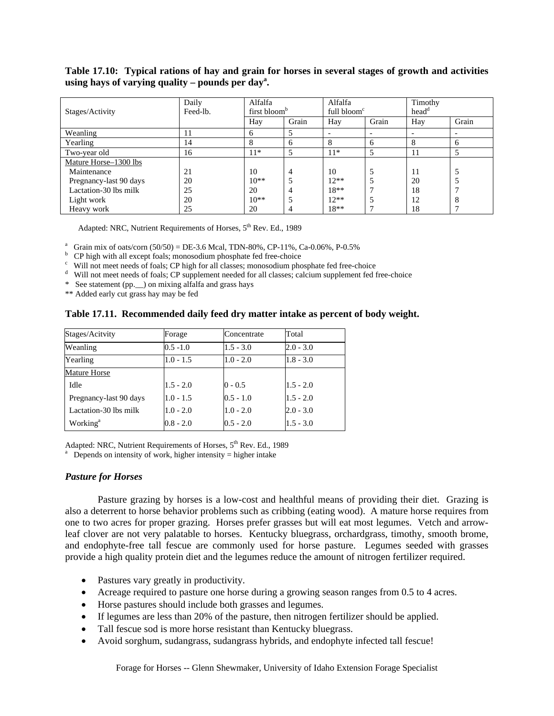## **Table 17.10: Typical rations of hay and grain for horses in several stages of growth and activities**  using hays of varying quality  $-$  pounds per day<sup>a</sup>.

|                        | Daily    | Alfalfa                  |       | Alfalfa                  |       | Timothy           |                          |
|------------------------|----------|--------------------------|-------|--------------------------|-------|-------------------|--------------------------|
| Stages/Activity        | Feed-lb. | first bloom <sup>b</sup> |       | full bloom <sup>c</sup>  |       | head <sup>d</sup> |                          |
|                        |          | Hay                      | Grain | Hay                      | Grain | Hay               | Grain                    |
| Weanling               | 11       | n                        |       | $\overline{\phantom{a}}$ |       |                   | $\overline{\phantom{0}}$ |
| Yearling               | 14       | 8                        | 6     | 8                        | 6     | 8                 | 6                        |
| Two-year old           | 16       | $11*$                    |       | $11*$                    |       | 11                |                          |
| Mature Horse-1300 lbs  |          |                          |       |                          |       |                   |                          |
| Maintenance            | 21       | 10                       | 4     | 10                       |       | 11                |                          |
| Pregnancy-last 90 days | 20       | $10**$                   |       | $12**$                   |       | 20                |                          |
| Lactation-30 lbs milk  | 25       | 20                       | 4     | $18**$                   |       | 18                |                          |
| Light work             | 20       | $10**$                   |       | $12**$                   |       | 12                | 8                        |
| Heavy work             | 25       | 20                       |       | $18**$                   |       | 18                |                          |

Adapted: NRC, Nutrient Requirements of Horses, 5<sup>th</sup> Rev. Ed., 1989

<sup>a</sup> Grain mix of oats/corn (50/50) = DE-3.6 Mcal, TDN-80%, CP-11%, Ca-0.06%, P-0.5% b CB bigh with all avenue fools: proposedium phasphata fed free choice.

 $b$  CP high with all except foals; monosodium phosphate fed free-choice

 $\degree$  Will not meet needs of foals; CP high for all classes; monosodium phosphate fed free-choice

Will not meet needs of foals; CP supplement needed for all classes; calcium supplement fed free-choice

\* See statement (pp.\_\_) on mixing alfalfa and grass hays

\*\* Added early cut grass hay may be fed

#### **Table 17.11. Recommended daily feed dry matter intake as percent of body weight.**

| Stages/Acitvity        | Forage      | Concentrate | Total       |
|------------------------|-------------|-------------|-------------|
| Weanling               | $0.5 - 1.0$ | $1.5 - 3.0$ | $2.0 - 3.0$ |
| Yearling               | $1.0 - 1.5$ | $1.0 - 2.0$ | $1.8 - 3.0$ |
| Mature Horse           |             |             |             |
| Idle                   | $1.5 - 2.0$ | $0 - 0.5$   | $1.5 - 2.0$ |
| Pregnancy-last 90 days | $1.0 - 1.5$ | $0.5 - 1.0$ | $1.5 - 2.0$ |
| Lactation-30 lbs milk  | $1.0 - 2.0$ | $1.0 - 2.0$ | $2.0 - 3.0$ |
| Working <sup>a</sup>   | $0.8 - 2.0$ | $0.5 - 2.0$ | $1.5 - 3.0$ |

Adapted: NRC, Nutrient Requirements of Horses, 5<sup>th</sup> Rev. Ed., 1989

Depends on intensity of work, higher intensity  $=$  higher intake

#### *Pasture for Horses*

Pasture grazing by horses is a low-cost and healthful means of providing their diet. Grazing is also a deterrent to horse behavior problems such as cribbing (eating wood). A mature horse requires from one to two acres for proper grazing. Horses prefer grasses but will eat most legumes. Vetch and arrowleaf clover are not very palatable to horses. Kentucky bluegrass, orchardgrass, timothy, smooth brome, and endophyte-free tall fescue are commonly used for horse pasture. Legumes seeded with grasses provide a high quality protein diet and the legumes reduce the amount of nitrogen fertilizer required.

- Pastures vary greatly in productivity.
- Acreage required to pasture one horse during a growing season ranges from 0.5 to 4 acres.
- Horse pastures should include both grasses and legumes.
- If legumes are less than 20% of the pasture, then nitrogen fertilizer should be applied.
- Tall fescue sod is more horse resistant than Kentucky bluegrass.
- Avoid sorghum, sudangrass, sudangrass hybrids, and endophyte infected tall fescue!